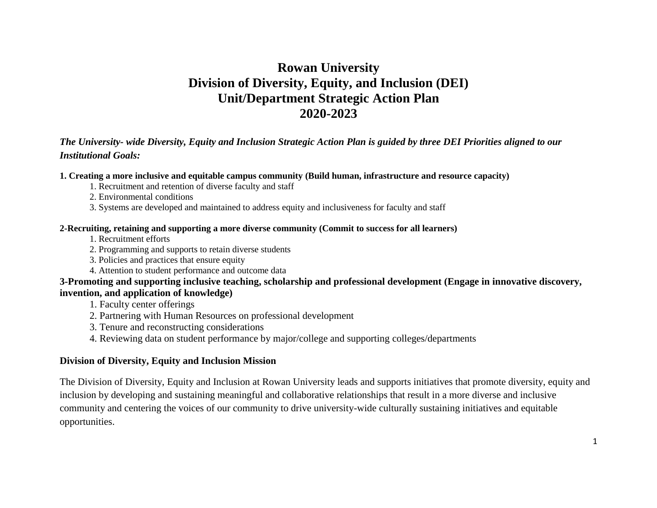# **Rowan University Division of Diversity, Equity, and Inclusion (DEI) Unit/Department Strategic Action Plan 2020-2023**

#### *The University- wide Diversity, Equity and Inclusion Strategic Action Plan is guided by three DEI Priorities aligned to our Institutional Goals:*

#### **1. Creating a more inclusive and equitable campus community (Build human, infrastructure and resource capacity)**

- 1. Recruitment and retention of diverse faculty and staff
- 2. Environmental conditions
- 3. Systems are developed and maintained to address equity and inclusiveness for faculty and staff

#### **2-Recruiting, retaining and supporting a more diverse community (Commit to success for all learners)**

- 1. Recruitment efforts
- 2. Programming and supports to retain diverse students
- 3. Policies and practices that ensure equity
- 4. Attention to student performance and outcome data

#### **3-Promoting and supporting inclusive teaching, scholarship and professional development (Engage in innovative discovery, invention, and application of knowledge)**

1. Faculty center offerings

- 2. Partnering with Human Resources on professional development
- 3. Tenure and reconstructing considerations
- 4. Reviewing data on student performance by major/college and supporting colleges/departments

#### **Division of Diversity, Equity and Inclusion Mission**

The Division of Diversity, Equity and Inclusion at Rowan University leads and supports initiatives that promote diversity, equity and inclusion by developing and sustaining meaningful and collaborative relationships that result in a more diverse and inclusive community and centering the voices of our community to drive university-wide culturally sustaining initiatives and equitable opportunities.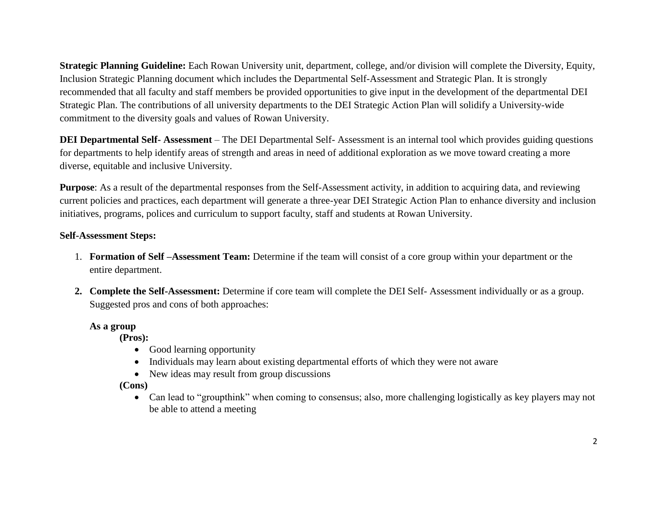**Strategic Planning Guideline:** Each Rowan University unit, department, college, and/or division will complete the Diversity, Equity, Inclusion Strategic Planning document which includes the Departmental Self-Assessment and Strategic Plan. It is strongly recommended that all faculty and staff members be provided opportunities to give input in the development of the departmental DEI Strategic Plan. The contributions of all university departments to the DEI Strategic Action Plan will solidify a University-wide commitment to the diversity goals and values of Rowan University.

**DEI Departmental Self- Assessment** – The DEI Departmental Self- Assessment is an internal tool which provides guiding questions for departments to help identify areas of strength and areas in need of additional exploration as we move toward creating a more diverse, equitable and inclusive University.

**Purpose**: As a result of the departmental responses from the Self-Assessment activity, in addition to acquiring data, and reviewing current policies and practices, each department will generate a three-year DEI Strategic Action Plan to enhance diversity and inclusion initiatives, programs, polices and curriculum to support faculty, staff and students at Rowan University.

## **Self-Assessment Steps:**

- 1. **Formation of Self –Assessment Team:** Determine if the team will consist of a core group within your department or the entire department.
- **2. Complete the Self-Assessment:** Determine if core team will complete the DEI Self- Assessment individually or as a group. Suggested pros and cons of both approaches:

### **As a group**

**(Pros):** 

- Good learning opportunity
- Individuals may learn about existing departmental efforts of which they were not aware
- New ideas may result from group discussions

**(Cons)**

• Can lead to "groupthink" when coming to consensus; also, more challenging logistically as key players may not be able to attend a meeting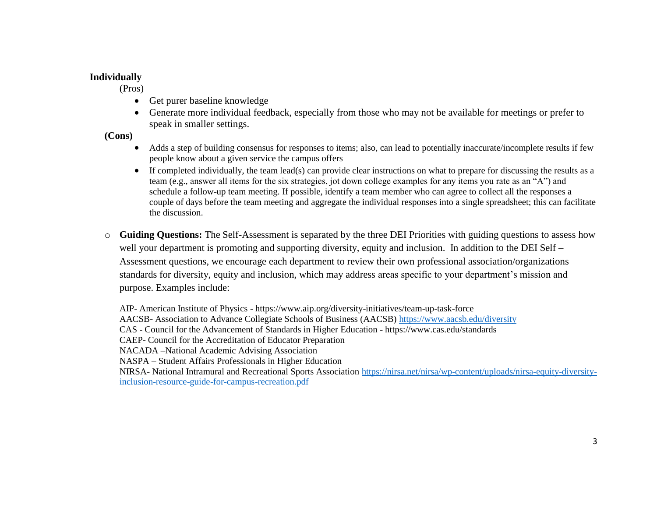#### **Individually**

(Pros)

- Get purer baseline knowledge
- Generate more individual feedback, especially from those who may not be available for meetings or prefer to speak in smaller settings.

**(Cons)**

- Adds a step of building consensus for responses to items; also, can lead to potentially inaccurate/incomplete results if few people know about a given service the campus offers
- If completed individually, the team lead(s) can provide clear instructions on what to prepare for discussing the results as a team (e.g., answer all items for the six strategies, jot down college examples for any items you rate as an "A") and schedule a follow-up team meeting. If possible, identify a team member who can agree to collect all the responses a couple of days before the team meeting and aggregate the individual responses into a single spreadsheet; this can facilitate the discussion.
- o **Guiding Questions:** The Self-Assessment is separated by the three DEI Priorities with guiding questions to assess how well your department is promoting and supporting diversity, equity and inclusion. In addition to the DEI Self – Assessment questions, we encourage each department to review their own professional association/organizations standards for diversity, equity and inclusion, which may address areas specific to your department's mission and purpose. Examples include:

AIP- American Institute of Physics - https://www.aip.org/diversity-initiatives/team-up-task-force AACSB- Association to Advance Collegiate Schools of Business (AACSB) <https://www.aacsb.edu/diversity> CAS - Council for the Advancement of Standards in Higher Education - https://www.cas.edu/standards CAEP- Council for the Accreditation of Educator Preparation NACADA –National Academic Advising Association NASPA – Student Affairs Professionals in Higher Education NIRSA- National Intramural and Recreational Sports Associatio[n https://nirsa.net/nirsa/wp-content/uploads/nirsa-equity-diversity](https://nirsa.net/nirsa/wp-content/uploads/nirsa-equity-diversity-inclusion-resource-guide-for-campus-recreation.pdf)[inclusion-resource-guide-for-campus-recreation.pdf](https://nirsa.net/nirsa/wp-content/uploads/nirsa-equity-diversity-inclusion-resource-guide-for-campus-recreation.pdf)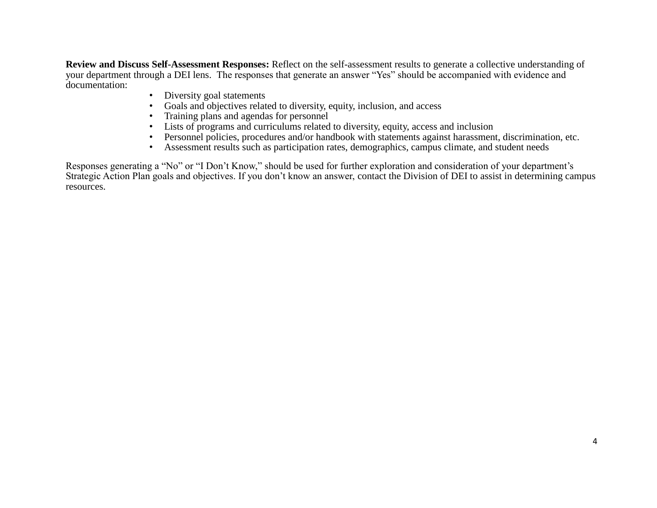**Review and Discuss Self-Assessment Responses:** Reflect on the self-assessment results to generate a collective understanding of your department through a DEI lens. The responses that generate an answer "Yes" should be accompanied with evidence and documentation:

- Diversity goal statements
- Goals and objectives related to diversity, equity, inclusion, and access
- Training plans and agendas for personnel
- Lists of programs and curriculums related to diversity, equity, access and inclusion
- Personnel policies, procedures and/or handbook with statements against harassment, discrimination, etc.
- Assessment results such as participation rates, demographics, campus climate, and student needs

Responses generating a "No" or "I Don't Know," should be used for further exploration and consideration of your department's Strategic Action Plan goals and objectives. If you don't know an answer, contact the Division of DEI to assist in determining campus resources.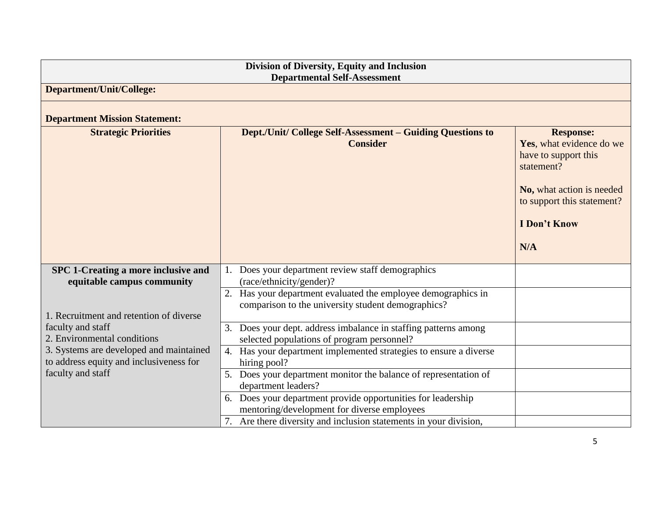| Division of Diversity, Equity and Inclusion<br><b>Departmental Self-Assessment</b> |                                                                                                                     |                                                                                                                                                                             |  |  |  |  |
|------------------------------------------------------------------------------------|---------------------------------------------------------------------------------------------------------------------|-----------------------------------------------------------------------------------------------------------------------------------------------------------------------------|--|--|--|--|
| <b>Department/Unit/College:</b>                                                    |                                                                                                                     |                                                                                                                                                                             |  |  |  |  |
| <b>Department Mission Statement:</b>                                               |                                                                                                                     |                                                                                                                                                                             |  |  |  |  |
| <b>Strategic Priorities</b>                                                        | <b>Dept./Unit/ College Self-Assessment – Guiding Questions to</b><br><b>Consider</b>                                | <b>Response:</b><br>Yes, what evidence do we<br>have to support this<br>statement?<br>No, what action is needed<br>to support this statement?<br><b>I</b> Don't Know<br>N/A |  |  |  |  |
| SPC 1-Creating a more inclusive and<br>equitable campus community                  | Does your department review staff demographics<br>(race/ethnicity/gender)?                                          |                                                                                                                                                                             |  |  |  |  |
| 1. Recruitment and retention of diverse                                            | 2. Has your department evaluated the employee demographics in<br>comparison to the university student demographics? |                                                                                                                                                                             |  |  |  |  |
| faculty and staff<br>2. Environmental conditions                                   | 3. Does your dept. address imbalance in staffing patterns among<br>selected populations of program personnel?       |                                                                                                                                                                             |  |  |  |  |
| 3. Systems are developed and maintained<br>to address equity and inclusiveness for | 4. Has your department implemented strategies to ensure a diverse<br>hiring pool?                                   |                                                                                                                                                                             |  |  |  |  |
| faculty and staff                                                                  | 5. Does your department monitor the balance of representation of<br>department leaders?                             |                                                                                                                                                                             |  |  |  |  |
|                                                                                    | 6. Does your department provide opportunities for leadership<br>mentoring/development for diverse employees         |                                                                                                                                                                             |  |  |  |  |
|                                                                                    | 7. Are there diversity and inclusion statements in your division,                                                   |                                                                                                                                                                             |  |  |  |  |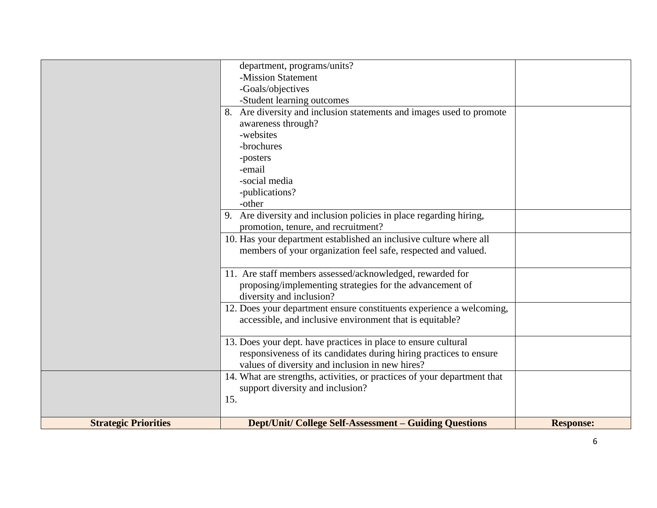|                             | department, programs/units?                                              |                  |
|-----------------------------|--------------------------------------------------------------------------|------------------|
|                             | -Mission Statement                                                       |                  |
|                             | -Goals/objectives                                                        |                  |
|                             | -Student learning outcomes                                               |                  |
|                             | 8. Are diversity and inclusion statements and images used to promote     |                  |
|                             | awareness through?                                                       |                  |
|                             | -websites                                                                |                  |
|                             | -brochures                                                               |                  |
|                             | -posters                                                                 |                  |
|                             | -email                                                                   |                  |
|                             | -social media                                                            |                  |
|                             | -publications?                                                           |                  |
|                             | -other                                                                   |                  |
|                             | 9. Are diversity and inclusion policies in place regarding hiring,       |                  |
|                             | promotion, tenure, and recruitment?                                      |                  |
|                             | 10. Has your department established an inclusive culture where all       |                  |
|                             | members of your organization feel safe, respected and valued.            |                  |
|                             |                                                                          |                  |
|                             | 11. Are staff members assessed/acknowledged, rewarded for                |                  |
|                             | proposing/implementing strategies for the advancement of                 |                  |
|                             | diversity and inclusion?                                                 |                  |
|                             | 12. Does your department ensure constituents experience a welcoming,     |                  |
|                             | accessible, and inclusive environment that is equitable?                 |                  |
|                             |                                                                          |                  |
|                             | 13. Does your dept. have practices in place to ensure cultural           |                  |
|                             | responsiveness of its candidates during hiring practices to ensure       |                  |
|                             | values of diversity and inclusion in new hires?                          |                  |
|                             | 14. What are strengths, activities, or practices of your department that |                  |
|                             | support diversity and inclusion?                                         |                  |
|                             | 15.                                                                      |                  |
|                             |                                                                          |                  |
| <b>Strategic Priorities</b> | <b>Dept/Unit/ College Self-Assessment – Guiding Questions</b>            | <b>Response:</b> |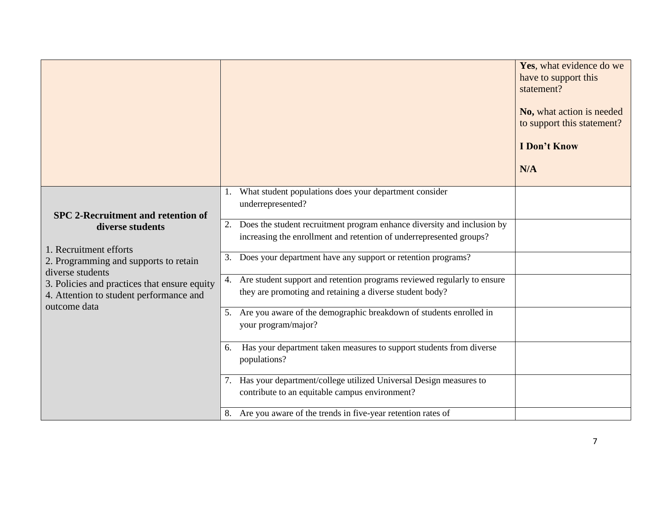|                                                                                                                                                                                                                    |                                                                                                                                                      | Yes, what evidence do we<br>have to support this<br>statement?<br>No, what action is needed<br>to support this statement?<br><b>I</b> Don't Know<br>N/A |
|--------------------------------------------------------------------------------------------------------------------------------------------------------------------------------------------------------------------|------------------------------------------------------------------------------------------------------------------------------------------------------|---------------------------------------------------------------------------------------------------------------------------------------------------------|
| <b>SPC 2-Recruitment and retention of</b>                                                                                                                                                                          | 1. What student populations does your department consider<br>underrepresented?                                                                       |                                                                                                                                                         |
| diverse students<br>1. Recruitment efforts<br>2. Programming and supports to retain<br>diverse students<br>3. Policies and practices that ensure equity<br>4. Attention to student performance and<br>outcome data | Does the student recruitment program enhance diversity and inclusion by<br>2.<br>increasing the enrollment and retention of underrepresented groups? |                                                                                                                                                         |
|                                                                                                                                                                                                                    | Does your department have any support or retention programs?<br>3.                                                                                   |                                                                                                                                                         |
|                                                                                                                                                                                                                    | 4. Are student support and retention programs reviewed regularly to ensure<br>they are promoting and retaining a diverse student body?               |                                                                                                                                                         |
|                                                                                                                                                                                                                    | 5. Are you aware of the demographic breakdown of students enrolled in<br>your program/major?                                                         |                                                                                                                                                         |
|                                                                                                                                                                                                                    | 6. Has your department taken measures to support students from diverse<br>populations?                                                               |                                                                                                                                                         |
|                                                                                                                                                                                                                    | 7. Has your department/college utilized Universal Design measures to<br>contribute to an equitable campus environment?                               |                                                                                                                                                         |
|                                                                                                                                                                                                                    | 8. Are you aware of the trends in five-year retention rates of                                                                                       |                                                                                                                                                         |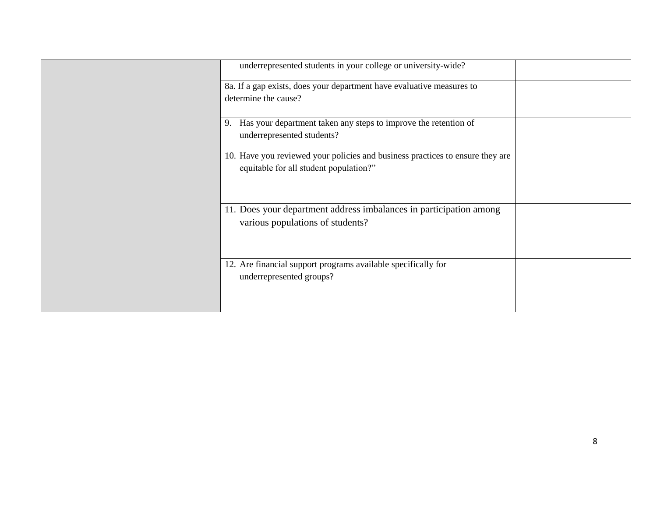| underrepresented students in your college or university-wide?                 |  |
|-------------------------------------------------------------------------------|--|
| 8a. If a gap exists, does your department have evaluative measures to         |  |
| determine the cause?                                                          |  |
| Has your department taken any steps to improve the retention of<br>9.         |  |
| underrepresented students?                                                    |  |
| 10. Have you reviewed your policies and business practices to ensure they are |  |
| equitable for all student population?"                                        |  |
|                                                                               |  |
| 11. Does your department address imbalances in participation among            |  |
| various populations of students?                                              |  |
|                                                                               |  |
| 12. Are financial support programs available specifically for                 |  |
| underrepresented groups?                                                      |  |
|                                                                               |  |
|                                                                               |  |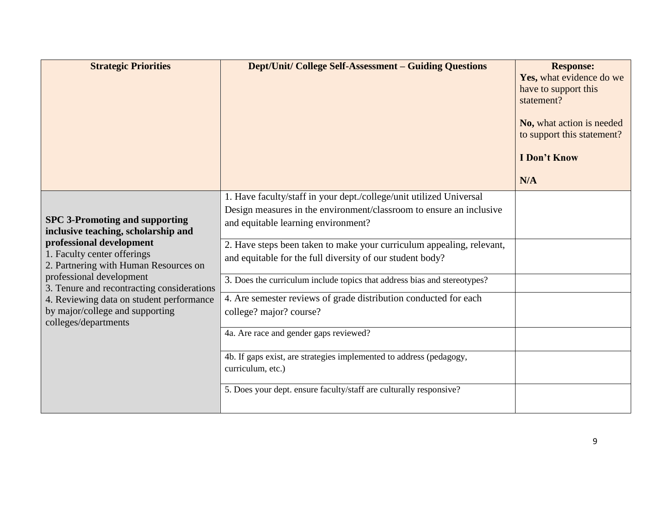| <b>Strategic Priorities</b>                                                                                                                                                                                                                                                                                                                                       | <b>Dept/Unit/ College Self-Assessment - Guiding Questions</b>                                                                                                                     | <b>Response:</b><br>Yes, what evidence do we<br>have to support this<br>statement?<br>No, what action is needed<br>to support this statement?<br><b>I</b> Don't Know<br>N/A |
|-------------------------------------------------------------------------------------------------------------------------------------------------------------------------------------------------------------------------------------------------------------------------------------------------------------------------------------------------------------------|-----------------------------------------------------------------------------------------------------------------------------------------------------------------------------------|-----------------------------------------------------------------------------------------------------------------------------------------------------------------------------|
| <b>SPC 3-Promoting and supporting</b><br>inclusive teaching, scholarship and<br>professional development<br>1. Faculty center offerings<br>2. Partnering with Human Resources on<br>professional development<br>3. Tenure and recontracting considerations<br>4. Reviewing data on student performance<br>by major/college and supporting<br>colleges/departments | 1. Have faculty/staff in your dept./college/unit utilized Universal<br>Design measures in the environment/classroom to ensure an inclusive<br>and equitable learning environment? |                                                                                                                                                                             |
|                                                                                                                                                                                                                                                                                                                                                                   | 2. Have steps been taken to make your curriculum appealing, relevant,<br>and equitable for the full diversity of our student body?                                                |                                                                                                                                                                             |
|                                                                                                                                                                                                                                                                                                                                                                   | 3. Does the curriculum include topics that address bias and stereotypes?                                                                                                          |                                                                                                                                                                             |
|                                                                                                                                                                                                                                                                                                                                                                   | 4. Are semester reviews of grade distribution conducted for each<br>college? major? course?                                                                                       |                                                                                                                                                                             |
|                                                                                                                                                                                                                                                                                                                                                                   | 4a. Are race and gender gaps reviewed?                                                                                                                                            |                                                                                                                                                                             |
|                                                                                                                                                                                                                                                                                                                                                                   | 4b. If gaps exist, are strategies implemented to address (pedagogy,<br>curriculum, etc.)                                                                                          |                                                                                                                                                                             |
|                                                                                                                                                                                                                                                                                                                                                                   | 5. Does your dept. ensure faculty/staff are culturally responsive?                                                                                                                |                                                                                                                                                                             |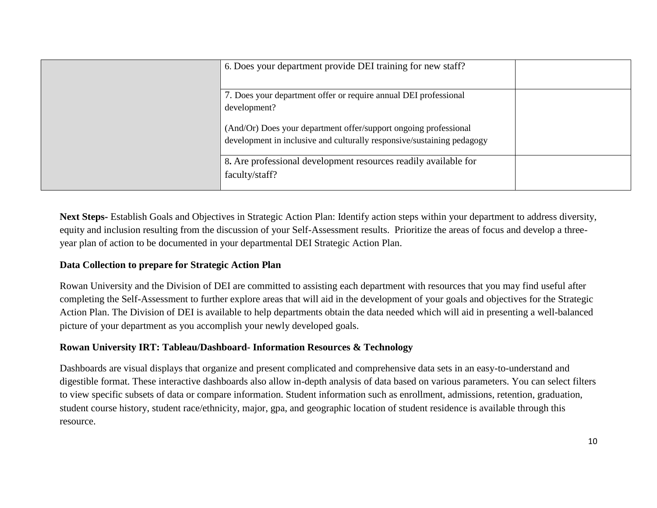| 6. Does your department provide DEI training for new staff?                                                                                |  |
|--------------------------------------------------------------------------------------------------------------------------------------------|--|
| 7. Does your department offer or require annual DEI professional<br>development?                                                           |  |
| (And/Or) Does your department offer/support ongoing professional<br>development in inclusive and culturally responsive/sustaining pedagogy |  |
| 8. Are professional development resources readily available for<br>faculty/staff?                                                          |  |

**Next Steps-** Establish Goals and Objectives in Strategic Action Plan: Identify action steps within your department to address diversity, equity and inclusion resulting from the discussion of your Self-Assessment results. Prioritize the areas of focus and develop a threeyear plan of action to be documented in your departmental DEI Strategic Action Plan.

### **Data Collection to prepare for Strategic Action Plan**

Rowan University and the Division of DEI are committed to assisting each department with resources that you may find useful after completing the Self-Assessment to further explore areas that will aid in the development of your goals and objectives for the Strategic Action Plan. The Division of DEI is available to help departments obtain the data needed which will aid in presenting a well-balanced picture of your department as you accomplish your newly developed goals.

### **Rowan University IRT: Tableau/Dashboard- Information Resources & Technology**

Dashboards are visual displays that organize and present complicated and comprehensive data sets in an easy-to-understand and digestible format. These interactive dashboards also allow in-depth analysis of data based on various parameters. You can select filters to view specific subsets of data or compare information. Student information such as enrollment, admissions, retention, graduation, student course history, student race/ethnicity, major, gpa, and geographic location of student residence is available through this resource.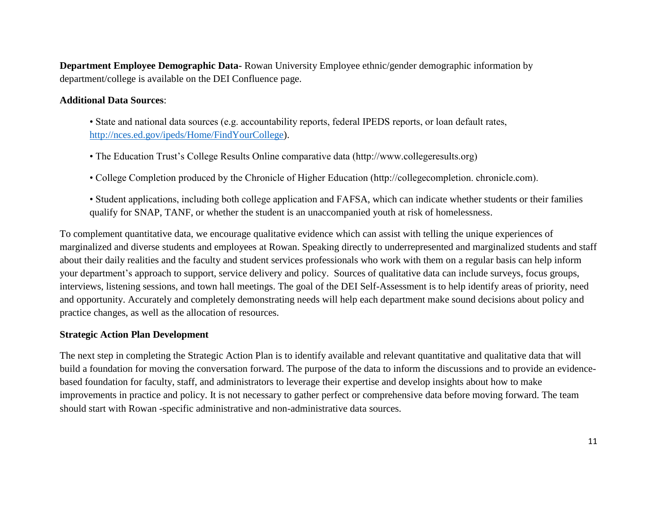**Department Employee Demographic Data-** Rowan University Employee ethnic/gender demographic information by department/college is available on the DEI Confluence page.

#### **Additional Data Sources**:

- State and national data sources (e.g. accountability reports, federal IPEDS reports, or loan default rates, [http://nces.ed.gov/ipeds/Home/FindYourCollege\)](http://nces.ed.gov/ipeds/Home/FindYourCollege).
- The Education Trust's College Results Online comparative data (http://www.collegeresults.org)
- College Completion produced by the Chronicle of Higher Education (http://collegecompletion. chronicle.com).
- Student applications, including both college application and FAFSA, which can indicate whether students or their families qualify for SNAP, TANF, or whether the student is an unaccompanied youth at risk of homelessness.

To complement quantitative data, we encourage qualitative evidence which can assist with telling the unique experiences of marginalized and diverse students and employees at Rowan. Speaking directly to underrepresented and marginalized students and staff about their daily realities and the faculty and student services professionals who work with them on a regular basis can help inform your department's approach to support, service delivery and policy. Sources of qualitative data can include surveys, focus groups, interviews, listening sessions, and town hall meetings. The goal of the DEI Self-Assessment is to help identify areas of priority, need and opportunity. Accurately and completely demonstrating needs will help each department make sound decisions about policy and practice changes, as well as the allocation of resources.

#### **Strategic Action Plan Development**

The next step in completing the Strategic Action Plan is to identify available and relevant quantitative and qualitative data that will build a foundation for moving the conversation forward. The purpose of the data to inform the discussions and to provide an evidencebased foundation for faculty, staff, and administrators to leverage their expertise and develop insights about how to make improvements in practice and policy. It is not necessary to gather perfect or comprehensive data before moving forward. The team should start with Rowan -specific administrative and non-administrative data sources.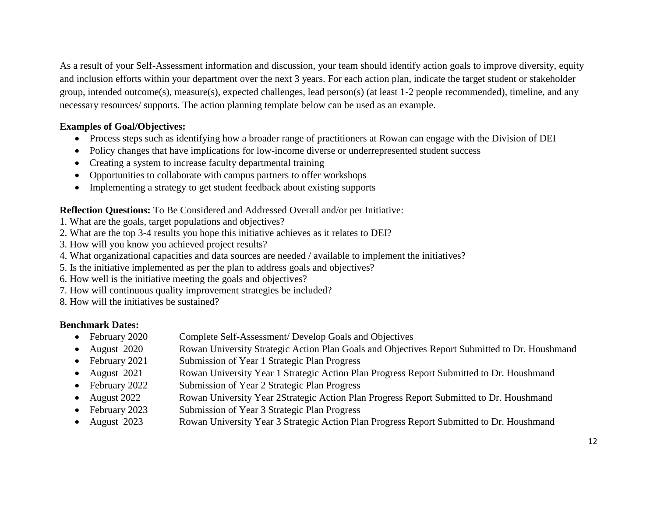As a result of your Self-Assessment information and discussion, your team should identify action goals to improve diversity, equity and inclusion efforts within your department over the next 3 years. For each action plan, indicate the target student or stakeholder group, intended outcome(s), measure(s), expected challenges, lead person(s) (at least 1-2 people recommended), timeline, and any necessary resources/ supports. The action planning template below can be used as an example.

# **Examples of Goal/Objectives:**

- Process steps such as identifying how a broader range of practitioners at Rowan can engage with the Division of DEI
- Policy changes that have implications for low-income diverse or underrepresented student success
- Creating a system to increase faculty departmental training
- Opportunities to collaborate with campus partners to offer workshops
- Implementing a strategy to get student feedback about existing supports

#### **Reflection Questions:** To Be Considered and Addressed Overall and/or per Initiative:

- 1. What are the goals, target populations and objectives?
- 2. What are the top 3-4 results you hope this initiative achieves as it relates to DEI?
- 3. How will you know you achieved project results?
- 4. What organizational capacities and data sources are needed / available to implement the initiatives?
- 5. Is the initiative implemented as per the plan to address goals and objectives?
- 6. How well is the initiative meeting the goals and objectives?
- 7. How will continuous quality improvement strategies be included?
- 8. How will the initiatives be sustained?

### **Benchmark Dates:**

- February 2020 Complete Self-Assessment/ Develop Goals and Objectives
- August 2020 Rowan University Strategic Action Plan Goals and Objectives Report Submitted to Dr. Houshmand
- February 2021 Submission of Year 1 Strategic Plan Progress
- August 2021 Rowan University Year 1 Strategic Action Plan Progress Report Submitted to Dr. Houshmand
- February 2022 Submission of Year 2 Strategic Plan Progress
- August 2022 Rowan University Year 2Strategic Action Plan Progress Report Submitted to Dr. Houshmand
- February 2023 Submission of Year 3 Strategic Plan Progress
- August 2023 Rowan University Year 3 Strategic Action Plan Progress Report Submitted to Dr. Houshmand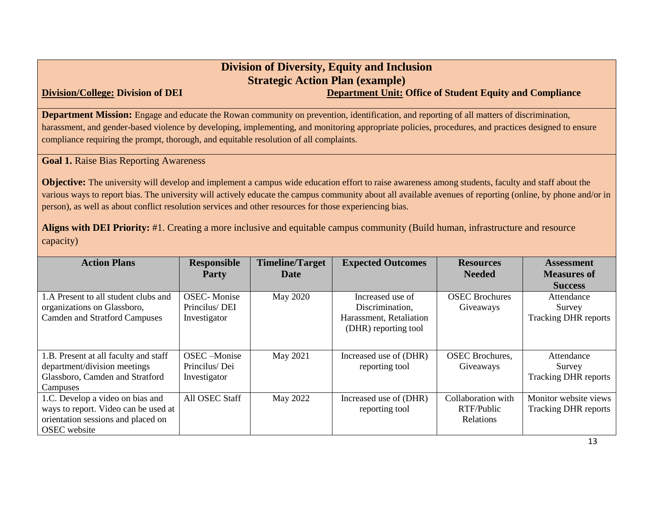# **Division of Diversity, Equity and Inclusion Strategic Action Plan (example) Division/College:** Division of DEI Department Unit: Office of Student Equity and Compliance

**Department Mission:** Engage and educate the Rowan community on prevention, identification, and reporting of all matters of discrimination, harassment, and gender-based violence by developing, implementing, and monitoring appropriate policies, procedures, and practices designed to ensure compliance requiring the prompt, thorough, and equitable resolution of all complaints.

**Goal 1.** Raise Bias Reporting Awareness

**Objective:** The university will develop and implement a campus wide education effort to raise awareness among students, faculty and staff about the various ways to report bias. The university will actively educate the campus community about all available avenues of reporting (online, by phone and/or in person), as well as about conflict resolution services and other resources for those experiencing bias.

**Aligns with DEI Priority:** #1. Creating a more inclusive and equitable campus community (Build human, infrastructure and resource capacity)

| <b>Action Plans</b>                                                                                                                   | <b>Responsible</b><br><b>Party</b>                  | <b>Timeline/Target</b><br>Date | <b>Expected Outcomes</b>                                                               | <b>Resources</b><br><b>Needed</b>             | <b>Assessment</b><br><b>Measures of</b>              |
|---------------------------------------------------------------------------------------------------------------------------------------|-----------------------------------------------------|--------------------------------|----------------------------------------------------------------------------------------|-----------------------------------------------|------------------------------------------------------|
|                                                                                                                                       |                                                     |                                |                                                                                        |                                               | <b>Success</b>                                       |
| 1.A Present to all student clubs and<br>organizations on Glassboro,<br><b>Camden and Stratford Campuses</b>                           | <b>OSEC-Monise</b><br>Princilus/DEI<br>Investigator | May 2020                       | Increased use of<br>Discrimination,<br>Harassment, Retaliation<br>(DHR) reporting tool | <b>OSEC</b> Brochures<br>Giveaways            | Attendance<br>Survey<br><b>Tracking DHR reports</b>  |
| 1.B. Present at all faculty and staff<br>department/division meetings<br>Glassboro, Camden and Stratford<br>Campuses                  | OSEC-Monise<br>Princilus/Dei<br>Investigator        | May 2021                       | Increased use of (DHR)<br>reporting tool                                               | <b>OSEC</b> Brochures,<br>Giveaways           | Attendance<br>Survey<br><b>Tracking DHR reports</b>  |
| 1.C. Develop a video on bias and<br>ways to report. Video can be used at<br>orientation sessions and placed on<br><b>OSEC</b> website | All OSEC Staff                                      | May 2022                       | Increased use of (DHR)<br>reporting tool                                               | Collaboration with<br>RTF/Public<br>Relations | Monitor website views<br><b>Tracking DHR reports</b> |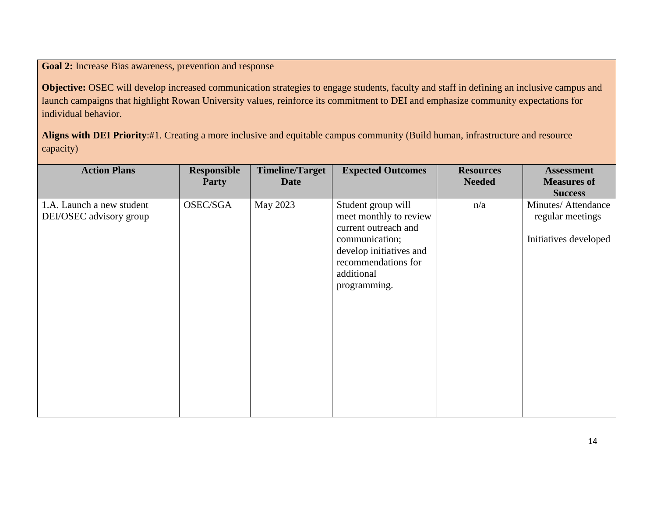**Goal 2:** Increase Bias awareness, prevention and response

**Objective:** OSEC will develop increased communication strategies to engage students, faculty and staff in defining an inclusive campus and launch campaigns that highlight Rowan University values, reinforce its commitment to DEI and emphasize community expectations for individual behavior.

**Aligns with DEI Priority**:#1. Creating a more inclusive and equitable campus community (Build human, infrastructure and resource capacity)

| <b>Action Plans</b>                                  | Responsible<br><b>Party</b> | <b>Timeline/Target</b><br><b>Date</b> | <b>Expected Outcomes</b>                                                                                                                                               | <b>Resources</b><br><b>Needed</b> | <b>Assessment</b><br><b>Measures of</b><br><b>Success</b>         |
|------------------------------------------------------|-----------------------------|---------------------------------------|------------------------------------------------------------------------------------------------------------------------------------------------------------------------|-----------------------------------|-------------------------------------------------------------------|
| 1.A. Launch a new student<br>DEI/OSEC advisory group | OSEC/SGA                    | May 2023                              | Student group will<br>meet monthly to review<br>current outreach and<br>communication;<br>develop initiatives and<br>recommendations for<br>additional<br>programming. | n/a                               | Minutes/Attendance<br>- regular meetings<br>Initiatives developed |